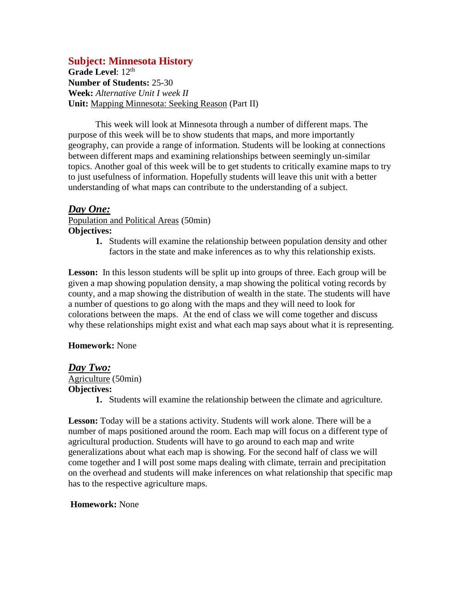# **Subject: Minnesota History**

Grade Level: 12<sup>th</sup> **Number of Students:** 25-30 **Week:** *Alternative Unit I week II* **Unit:** Mapping Minnesota: Seeking Reason (Part II)

This week will look at Minnesota through a number of different maps. The purpose of this week will be to show students that maps, and more importantly geography, can provide a range of information. Students will be looking at connections between different maps and examining relationships between seemingly un-similar topics. Another goal of this week will be to get students to critically examine maps to try to just usefulness of information. Hopefully students will leave this unit with a better understanding of what maps can contribute to the understanding of a subject.

# *Day One:*

Population and Political Areas (50min) **Objectives:**

> **1.** Students will examine the relationship between population density and other factors in the state and make inferences as to why this relationship exists.

Lesson: In this lesson students will be split up into groups of three. Each group will be given a map showing population density, a map showing the political voting records by county, and a map showing the distribution of wealth in the state. The students will have a number of questions to go along with the maps and they will need to look for colorations between the maps. At the end of class we will come together and discuss why these relationships might exist and what each map says about what it is representing.

### **Homework:** None

### *Day Two:*

# Agriculture (50min)

**Objectives:**

**1.** Students will examine the relationship between the climate and agriculture.

**Lesson:** Today will be a stations activity. Students will work alone. There will be a number of maps positioned around the room. Each map will focus on a different type of agricultural production. Students will have to go around to each map and write generalizations about what each map is showing. For the second half of class we will come together and I will post some maps dealing with climate, terrain and precipitation on the overhead and students will make inferences on what relationship that specific map has to the respective agriculture maps.

#### **Homework:** None